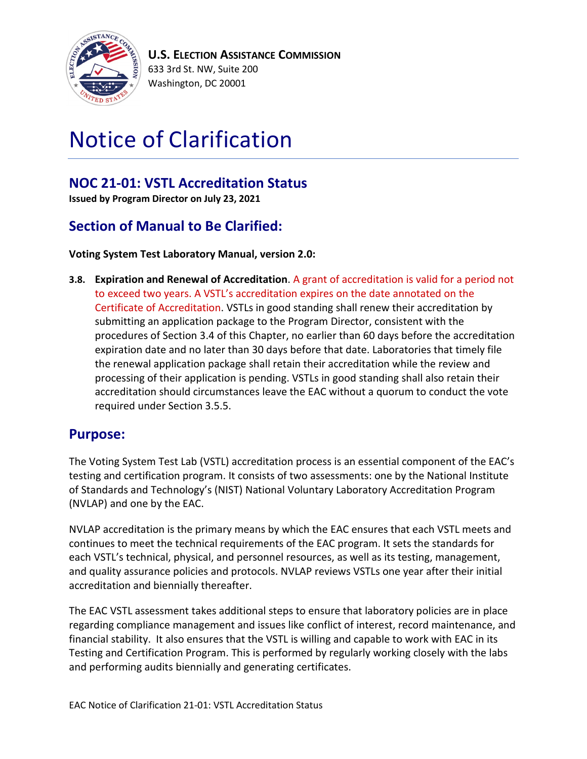

# Notice of Clarification

## **NOC 21-01: VSTL Accreditation Status**

**Issued by Program Director on July 23, 2021**

## **Section of Manual to Be Clarified:**

#### **Voting System Test Laboratory Manual, version 2.0:**

**3.8. Expiration and Renewal of Accreditation**. A grant of accreditation is valid for a period not to exceed two years. A VSTL's accreditation expires on the date annotated on the Certificate of Accreditation. VSTLs in good standing shall renew their accreditation by submitting an application package to the Program Director, consistent with the procedures of Section 3.4 of this Chapter, no earlier than 60 days before the accreditation expiration date and no later than 30 days before that date. Laboratories that timely file the renewal application package shall retain their accreditation while the review and processing of their application is pending. VSTLs in good standing shall also retain their accreditation should circumstances leave the EAC without a quorum to conduct the vote required under Section 3.5.5.

### **Purpose:**

The Voting System Test Lab (VSTL) accreditation process is an essential component of the EAC's testing and certification program. It consists of two assessments: one by the National Institute of Standards and Technology's (NIST) National Voluntary Laboratory Accreditation Program (NVLAP) and one by the EAC.

NVLAP accreditation is the primary means by which the EAC ensures that each VSTL meets and continues to meet the technical requirements of the EAC program. It sets the standards for each VSTL's technical, physical, and personnel resources, as well as its testing, management, and quality assurance policies and protocols. NVLAP reviews VSTLs one year after their initial accreditation and biennially thereafter.

The EAC VSTL assessment takes additional steps to ensure that laboratory policies are in place regarding compliance management and issues like conflict of interest, record maintenance, and financial stability. It also ensures that the VSTL is willing and capable to work with EAC in its Testing and Certification Program. This is performed by regularly working closely with the labs and performing audits biennially and generating certificates.